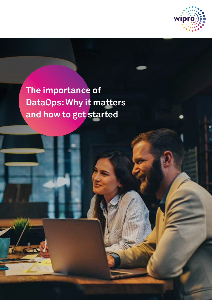

**The importance of DataOps: Why it matters and how to get started**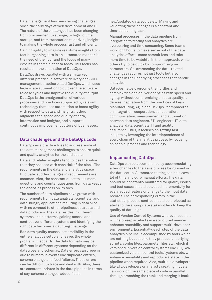Data management has been facing challenges since the early days of web development and IT. The nature of the challenges has been changing from procurement to storage, to high volume storage, and from transaction to deriving insights, to making the whole process fast and efficient.

Gaining agility to imagine real-time insights from fast burgeoning data in an automated manner is the need of the hour and the focus of many experts in the field of data today. This focus has resulted in the emanation of DataOps.

DataOps draws parallel with a similar yet different practice in software delivery and SDLC management practice called DevOps, which uses large scale automation to quicken the software release cycles and improve the quality of output. DataOps is the amalgamation of various processes and practices supported by relevant technology that uses automation to boost agility with respect to data and insights. It thus augments the speed and quality of data, information and insights, and supports continuous improvement culture of businesses.

### **Data challenges and the DataOps code**

DataOps as a practice tries to address some of the data management challenges to ensure quick and quality analytics for the end users.

Data and related insights tend to lose the value that they possess with each tick of the clock. The requirements in the data and analytics space fluctuate: sudden changes in requirements are common. Also, the constant quest to ask more questions and counter questions from data keeps the analytics process on its toes.

The number of data pipelines have grown with requirements from data analysts, scientists, and data-hungry applications resulting in data silos with no connect to other pipelines, data sets and data producers. The data resides in different systems and platforms; gaining access and control over different systems and identifying the right data becomes a daunting challenge.

**Bad data quality** causes lost credibility in the entire analytics setup and leaves the whole program in jeopardy. The data formats may be different in different systems depending on the datatypes and schemas. Data errors can creep in due to numerous events like duplicate entries, schema change and feed failures. These errors can be difficult to trace and deal with. Also, there are constant updates in the data pipeline in terms of say, schema changes, added fields

new/updated data source etc. Making and validating these changes is a constant and time-consuming task.

**Manual processes** in the data pipeline from integration to testing and analytics are overbearing and time consuming. Some teams work long hours to make sense out of the data analytics efforts, some commit less and take more time to be watchful in their approach, while others try to be quick by compromising on parameters. So, overcoming the data-related challenges requires not just tools but also changes in the underlying processes that handle analytics.

DataOps helps overcome the hurdles and complexities and deliver analytics with speed and agility, without compromising on data quality. It derives inspiration from the practices of Lean Manufacturing, Agile and DevOps. It emphasizes on integration, cooperation, collaboration, communication, measurement and automation between data engineers/ETL engineers, IT, data analysts, data scientists, IT and quality assurance. Thus, it focuses on getting fast insights by leveraging the interdependence of every chain of the analytics process by focusing on people, process and technology.

# **Implementing DataOps**

DataOps can be accomplished by accommodating a few changes to the as-is process being used in the data setup. Automated testing can help save a lot of time and curb manual efforts. The data should be constantly monitored for quality issues and test cases should be added incrementally for every added feature or change to the input data records. The corresponding errors in the statistical process control should be projected as alerts to the appropriate stakeholders to keep the quality of data high.

Use of Version Control Systems wherever possible will help keep artefacts in a structured manner, enhance reusability and support multi-developer environments. Essentially, each step of the data analytics pipeline is accomplished by tools which are nothing but code i.e they produce underlying scripts, config files, parameter files etc. which if versioned in version control systems like GIT, SVN, customized version control tools/systems etc. will enhance reusability and reproduce a state in the pipeline when required. Also, multiple developers like ETL developers or analysts creating models can work on the same piece of code in parallel through branching the trunk and merging it back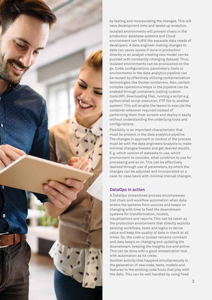

by testing and incorporating the changes. This will save development time and speed up analytics. Isolated environments will prevent chaos in the production database systems and Cloud environment can fulfill the separate data needs of developers. A data engineer making changes to data can cause issues if done in production directly or an analyst creating new model can be puzzled with constantly-changing dataset. Thus, isolated environments can be provisioned on the go. Code, configurations, parameters, tools or environments in the data analytics pipeline can be reused by effectively utilizing containerization technologies like Docker containers. Also, certain complex operations/steps in the pipeline can be enabled through containers (calling custom tools/API, downloading files, running a script e.g. python/shell script execution, FTP file to another system). This will enable the teams to execute the container wherever required instead of performing them from scratch and deploy it easily without understanding the underlying tools and configurations.

Flexibility is an important characteristic that must be present in the data analytics pipeline. The changes in approach or control of the process must be with the data engineers/analysts to make minimal changes/tweaks and get desired results. E.g. which version of datasets to use, which environment to consider, what condition to use for processing and so on. This can be effectively realized through use of parameters, by which the changes can be adjusted and incorporated on a case-to-case basis with minimal manual changes.

# **DataOps in action**

A DataOps streamlined process encompasses tool chain and workflow automation when data enters the systems from sources and keeps on changing with time to feed the downstream systems for transformation, models, visualizations and reports. This can be taken as the production environment that directly exploits existing workflows, tests and logics to derive value and keep the quality of data in check at all times. So, the code or toolset remains constant and data keeps on changing and updating the downstream, keeping the insights live and active. This can be done with a good orchestration tool with automation as its credo.

Another activity that happens simultaneously is the generation of new code, tests, models and features to the existing code/tools that play with the data. This can be well handled by using fixed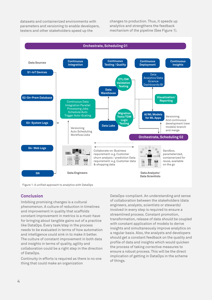datasets and containerized environments with parameters and versioning to enable developers, testers and other stakeholders speed up the

changes to production. Thus, it speeds up analytics and strengthens the feedback mechanism of the pipeline (See Figure 1).



Figure 1: A unified approach to analytics with DataOps

### **Conclusion**

Imbibing promising changes is a cultural phenomenon. A culture of reduction in timelines and improvement in quality that scaffolds constant improvement in metrics is a must-have for bringing about tangible gains out of a practice like DataOps. Every task/step in the process needs to be evaluated in terms of how automation and intelligence could sink in to make it better. The culture of constant improvement in both data and insights in terms of quality, agility and collaboration could be a right step in the direction of DataOps.

Continuity in efforts is required as there is no one thing that could make an organization

DataOps-compliant. An understanding and sense of collaboration between the stakeholders (data engineers, analysts, scientists or stewards) involved in every step is required to ensure a streamlined process. Constant promotion, transformation, release of data should be coupled with constant application of models to derive insights and simultaneously improve analytics on a regular basis. Also, the analysts and developers should get a constant feedback on the quality and profile of data and insights which would quicken the process of taking corrective measures to ensure a robust process. This will be the direct implication of getting in DataOps in the scheme of things.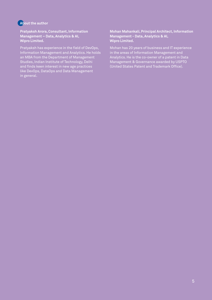# **About the author**

**Pratyaksh Arora, Consultant, Information Management – Data, Analytics & AI, Wipro Limited.**

Pratyaksh has experience in the field of DevOps, Information Management and Analytics. He holds an MBA from the Department of Management Studies, Indian Institute of Technology, Delhi and finds keen interest in new age practices like DevOps, DataOps and Data Management in general.

**Mohan Mahankali, Principal Architect, Information Management - Data, Analytics & AI, Wipro Limited.**

Mohan has 20 years of business and IT experience in the areas of Information Management and Analytics. He is the co-owner of a patent in Data Management & Governance awarded by USPTO (United States Patent and Trademark Office).